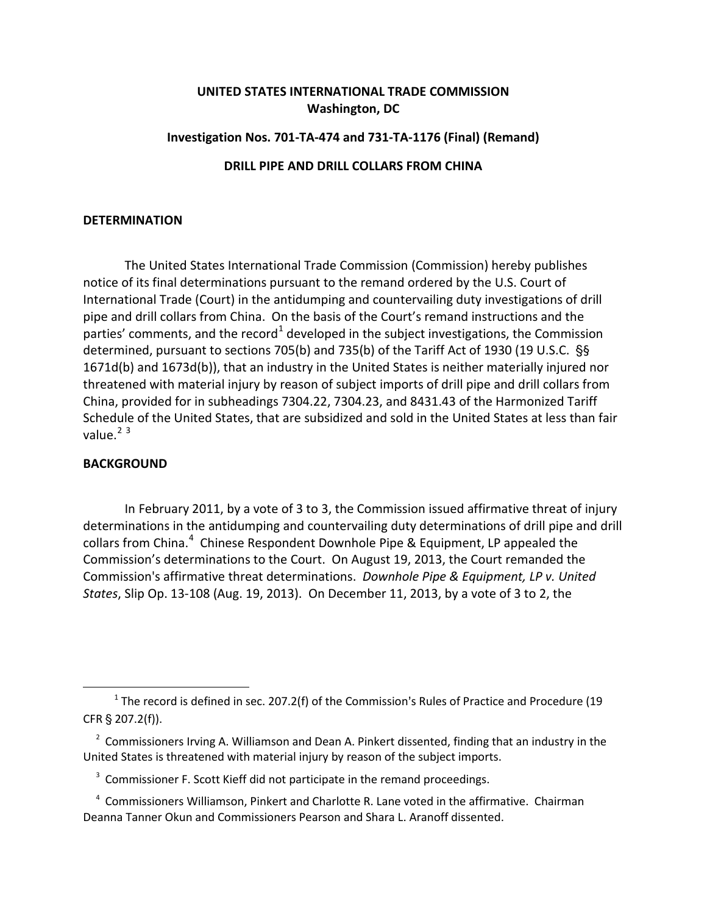## **UNITED STATES INTERNATIONAL TRADE COMMISSION Washington, DC**

## **Investigation Nos. 701-TA-474 and 731-TA-1176 (Final) (Remand) DRILL PIPE AND DRILL COLLARS FROM CHINA**

## **DETERMINATION**

The United States International Trade Commission (Commission) hereby publishes notice of its final determinations pursuant to the remand ordered by the U.S. Court of International Trade (Court) in the antidumping and countervailing duty investigations of drill pipe and drill collars from China. On the basis of the Court's remand instructions and the parties' comments, and the record<sup>[1](#page-0-0)</sup> developed in the subject investigations, the Commission determined, pursuant to sections 705(b) and 735(b) of the Tariff Act of 1930 (19 U.S.C. '§ 1671d(b) and 1673d(b)), that an industry in the United States is neither materially injured nor threatened with material injury by reason of subject imports of drill pipe and drill collars from China, provided for in subheadings 7304.22, 7304.23, and 8431.43 of the Harmonized Tariff Schedule of the United States, that are subsidized and sold in the United States at less than fair value. $2^3$  $2^3$  $2^3$ 

## **BACKGROUND**

 $\overline{\phantom{a}}$ 

In February 2011, by a vote of 3 to 3, the Commission issued affirmative threat of injury determinations in the antidumping and countervailing duty determinations of drill pipe and drill collars from China.<sup>[4](#page-0-3)</sup> Chinese Respondent Downhole Pipe & Equipment, LP appealed the Commission's determinations to the Court. On August 19, 2013, the Court remanded the Commission's affirmative threat determinations. *Downhole Pipe & Equipment, LP v. United States*, Slip Op. 13-108 (Aug. 19, 2013). On December 11, 2013, by a vote of 3 to 2, the

<span id="page-0-0"></span><sup>&</sup>lt;sup>1</sup> The record is defined in sec. 207.2(f) of the Commission's Rules of Practice and Procedure (19  $CFR \$  207.2(f)).

<span id="page-0-1"></span> $2$  Commissioners Irving A. Williamson and Dean A. Pinkert dissented, finding that an industry in the United States is threatened with material injury by reason of the subject imports.

<span id="page-0-2"></span><sup>&</sup>lt;sup>3</sup> Commissioner F. Scott Kieff did not participate in the remand proceedings.

<span id="page-0-3"></span><sup>&</sup>lt;sup>4</sup> Commissioners Williamson, Pinkert and Charlotte R. Lane voted in the affirmative. Chairman Deanna Tanner Okun and Commissioners Pearson and Shara L. Aranoff dissented.